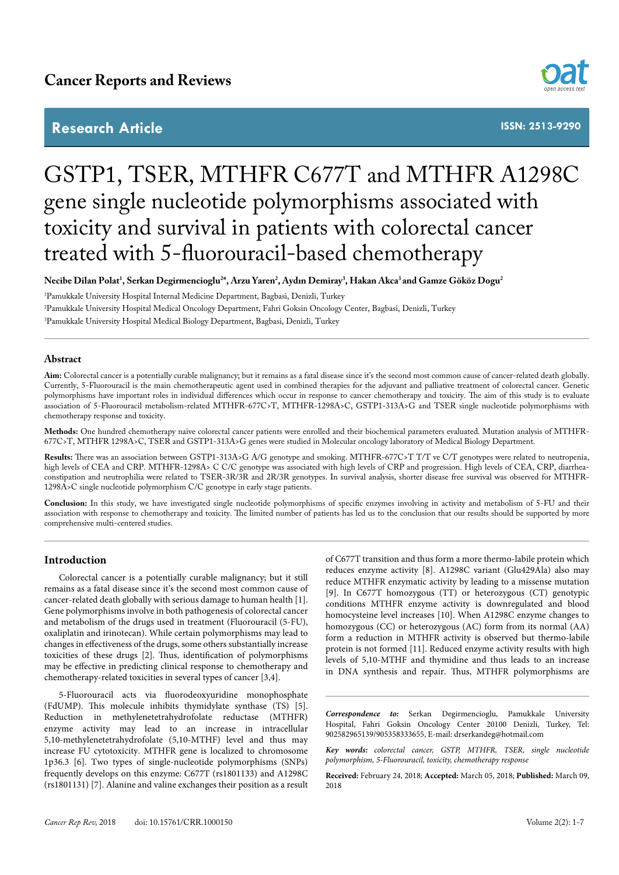# **Research Article**



**ISSN: 2513-9290**

# GSTP1, TSER, MTHFR C677T and MTHFR A1298C gene single nucleotide polymorphisms associated with toxicity and survival in patients with colorectal cancer treated with 5-fluorouracil-based chemotherapy

**Necibe Dilan Polat1 , Serkan Degirmencioglu2 \*, Arzu Yaren2 , Aydın Demiray3 , Hakan Akca3 and Gamze Gököz Dogu2**

1 Pamukkale University Hospital Internal Medicine Department, Bagbasi, Denizli, Turkey 2 Pamukkale University Hospital Medical Oncology Department, Fahri Goksin Oncology Center, Bagbasi, Denizli, Turkey 3 Pamukkale University Hospital Medical Biology Department, Bagbasi, Denizli, Turkey

#### **Abstract**

Aim: Colorectal cancer is a potentially curable malignancy; but it remains as a fatal disease since it's the second most common cause of cancer-related death globally. Currently, 5-Fluorouracil is the main chemotherapeutic agent used in combined therapies for the adjuvant and palliative treatment of colorectal cancer. Genetic polymorphisms have important roles in individual differences which occur in response to cancer chemotherapy and toxicity. The aim of this study is to evaluate association of 5-Fluorouracil metabolism-related MTHFR-677C>T, MTHFR-1298A>C, GSTP1-313A>G and TSER single nucleotide polymorphisms with chemotherapy response and toxicity.

**Methods:** One hundred chemotherapy naive colorectal cancer patients were enrolled and their biochemical parameters evaluated. Mutation analysis of MTHFR-677C>T, MTHFR 1298A>C, TSER and GSTP1-313A>G genes were studied in Molecular oncology laboratory of Medical Biology Department.

**Results:** There was an association between GSTP1-313A>G A/G genotype and smoking. MTHFR-677C>T T/T ve C/T genotypes were related to neutropenia, high levels of CEA and CRP. MTHFR-1298A> C C/C genotype was associated with high levels of CRP and progression. High levels of CEA, CRP, diarrheaconstipation and neutrophilia were related to TSER-3R/3R and 2R/3R genotypes. In survival analysis, shorter disease free survival was observed for MTHFR-1298A>C single nucleotide polymorphism C/C genotype in early stage patients.

**Conclusion:** In this study, we have investigated single nucleotide polymorphisms of specific enzymes involving in activity and metabolism of 5-FU and their association with response to chemotherapy and toxicity. The limited number of patients has led us to the conclusion that our results should be supported by more comprehensive multi-centered studies.

# **Introduction**

Colorectal cancer is a potentially curable malignancy; but it still remains as a fatal disease since it's the second most common cause of cancer-related death globally with serious damage to human health [1]. Gene polymorphisms involve in both pathogenesis of colorectal cancer and metabolism of the drugs used in treatment (Fluorouracil (5-FU), oxaliplatin and irinotecan). While certain polymorphisms may lead to changes in effectiveness of the drugs, some others substantially increase toxicities of these drugs [2]. Thus, identification of polymorphisms may be effective in predicting clinical response to chemotherapy and chemotherapy-related toxicities in several types of cancer [3,4].

5-Fluorouracil acts via fluorodeoxyuridine monophosphate (FdUMP). This molecule inhibits thymidylate synthase (TS) [5]. Reduction in methylenetetrahydrofolate reductase (MTHFR) enzyme activity may lead to an increase in intracellular 5,10-methylenetetrahydrofolate (5,10-MTHF) level and thus may increase FU cytotoxicity. MTHFR gene is localized to chromosome 1p36.3 [6]. Two types of single-nucleotide polymorphisms (SNPs) frequently develops on this enzyme: C677T (rs1801133) and A1298C (rs1801131) [7]. Alanine and valine exchanges their position as a result

of C677T transition and thus form a more thermo-labile protein which reduces enzyme activity [8]. A1298C variant (Glu429Ala) also may reduce MTHFR enzymatic activity by leading to a missense mutation [9]. In C677T homozygous (TT) or heterozygous (CT) genotypic conditions MTHFR enzyme activity is downregulated and blood homocysteine level increases [10]. When A1298C enzyme changes to homozygous (CC) or heterozygous (AC) form from its normal (AA) form a reduction in MTHFR activity is observed but thermo-labile protein is not formed [11]. Reduced enzyme activity results with high levels of 5,10-MTHF and thymidine and thus leads to an increase in DNA synthesis and repair. Thus, MTHFR polymorphisms are

*Correspondence to:* Serkan Degirmencioglu, Pamukkale University Hospital, Fahri Goksin Oncology Center 20100 Denizli, Turkey, Tel: 902582965139/905358333655, E-mail: drserkandeg@hotmail.com

*Key words: colorectal cancer, GSTP, MTHFR, TSER, single nucleotide polymorphism, 5-Fluorouracil, toxicity, chemotherapy response*

**Received:** February 24, 2018; **Accepted:** March 05, 2018; **Published:** March 09, 2018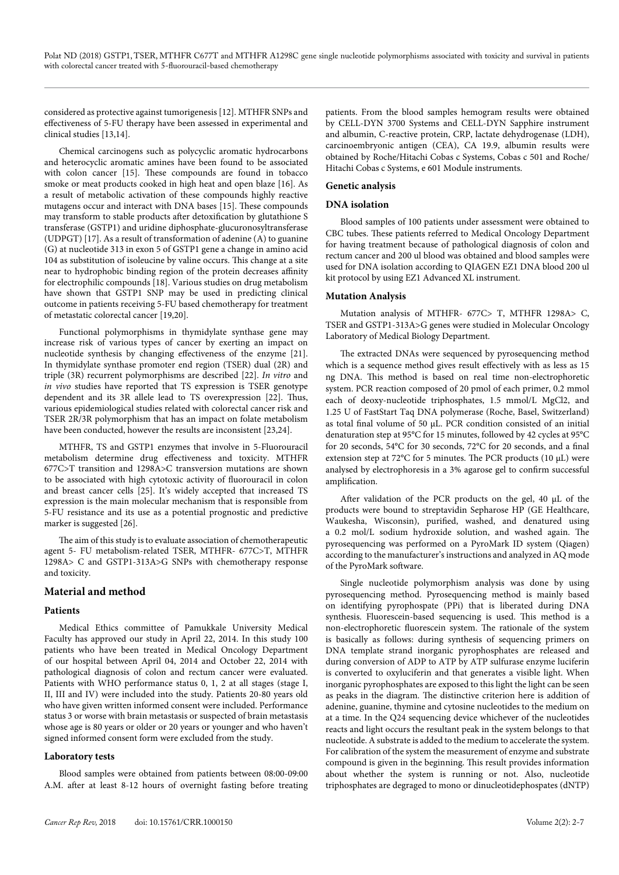considered as protective against tumorigenesis [12]. MTHFR SNPs and effectiveness of 5-FU therapy have been assessed in experimental and clinical studies [13,14].

Chemical carcinogens such as polycyclic aromatic hydrocarbons and heterocyclic aromatic amines have been found to be associated with colon cancer [15]. These compounds are found in tobacco smoke or meat products cooked in high heat and open blaze [16]. As a result of metabolic activation of these compounds highly reactive mutagens occur and interact with DNA bases [15]. These compounds may transform to stable products after detoxification by glutathione S transferase (GSTP1) and uridine diphosphate-glucuronosyltransferase (UDPGT) [17]. As a result of transformation of adenine (A) to guanine (G) at nucleotide 313 in exon 5 of GSTP1 gene a change in amino acid 104 as substitution of isoleucine by valine occurs. This change at a site near to hydrophobic binding region of the protein decreases affinity for electrophilic compounds [18]. Various studies on drug metabolism have shown that GSTP1 SNP may be used in predicting clinical outcome in patients receiving 5-FU based chemotherapy for treatment of metastatic colorectal cancer [19,20].

Functional polymorphisms in thymidylate synthase gene may increase risk of various types of cancer by exerting an impact on nucleotide synthesis by changing effectiveness of the enzyme [21]. In thymidylate synthase promoter end region (TSER) dual (2R) and triple (3R) recurrent polymorphisms are described [22]. *In vitro* and *in vivo* studies have reported that TS expression is TSER genotype dependent and its 3R allele lead to TS overexpression [22]. Thus, various epidemiological studies related with colorectal cancer risk and TSER 2R/3R polymorphism that has an impact on folate metabolism have been conducted, however the results are inconsistent [23,24].

MTHFR, TS and GSTP1 enzymes that involve in 5-Fluorouracil metabolism determine drug effectiveness and toxicity. MTHFR 677C>T transition and 1298A>C transversion mutations are shown to be associated with high cytotoxic activity of fluorouracil in colon and breast cancer cells [25]. It's widely accepted that increased TS expression is the main molecular mechanism that is responsible from 5-FU resistance and its use as a potential prognostic and predictive marker is suggested [26].

The aim of this study is to evaluate association of chemotherapeutic agent 5- FU metabolism-related TSER, MTHFR- 677C>T, MTHFR 1298A> C and GSTP1-313A>G SNPs with chemotherapy response and toxicity.

# **Material and method**

# **Patients**

Medical Ethics committee of Pamukkale University Medical Faculty has approved our study in April 22, 2014. In this study 100 patients who have been treated in Medical Oncology Department of our hospital between April 04, 2014 and October 22, 2014 with pathological diagnosis of colon and rectum cancer were evaluated. Patients with WHO performance status 0, 1, 2 at all stages (stage I, II, III and IV) were included into the study. Patients 20-80 years old who have given written informed consent were included. Performance status 3 or worse with brain metastasis or suspected of brain metastasis whose age is 80 years or older or 20 years or younger and who haven't signed informed consent form were excluded from the study.

# **Laboratory tests**

Blood samples were obtained from patients between 08:00-09:00 A.M. after at least 8-12 hours of overnight fasting before treating

patients. From the blood samples hemogram results were obtained by CELL-DYN 3700 Systems and CELL-DYN Sapphire instrument and albumin, C-reactive protein, CRP, lactate dehydrogenase (LDH), carcinoembryonic antigen (CEA), CA 19.9, albumin results were obtained by Roche/Hitachi Cobas c Systems, Cobas c 501 and Roche/ Hitachi Cobas c Systems, e 601 Module instruments.

# **Genetic analysis**

# **DNA isolation**

Blood samples of 100 patients under assessment were obtained to CBC tubes. These patients referred to Medical Oncology Department for having treatment because of pathological diagnosis of colon and rectum cancer and 200 ul blood was obtained and blood samples were used for DNA isolation according to QIAGEN EZ1 DNA blood 200 ul kit protocol by using EZ1 Advanced XL instrument.

# **Mutation Analysis**

Mutation analysis of MTHFR- 677C> T, MTHFR 1298A> C, TSER and GSTP1-313A>G genes were studied in Molecular Oncology Laboratory of Medical Biology Department.

The extracted DNAs were sequenced by pyrosequencing method which is a sequence method gives result effectively with as less as 15 ng DNA. This method is based on real time non-electrophoretic system. PCR reaction composed of 20 pmol of each primer, 0.2 mmol each of deoxy-nucleotide triphosphates, 1.5 mmol/L MgCl2, and 1.25 U of FastStart Taq DNA polymerase (Roche, Basel, Switzerland) as total final volume of 50 μL. PCR condition consisted of an initial denaturation step at 95°C for 15 minutes, followed by 42 cycles at 95°C for 20 seconds, 54°C for 30 seconds, 72°C for 20 seconds, and a final extension step at 72°C for 5 minutes. The PCR products (10 μL) were analysed by electrophoresis in a 3% agarose gel to confirm successful amplification.

After validation of the PCR products on the gel, 40 μL of the products were bound to streptavidin Sepharose HP (GE Healthcare, Waukesha, Wisconsin), purified, washed, and denatured using a 0.2 mol/L sodium hydroxide solution, and washed again. The pyrosequencing was performed on a PyroMark ID system (Qiagen) according to the manufacturer's instructions and analyzed in AQ mode of the PyroMark software.

Single nucleotide polymorphism analysis was done by using pyrosequencing method. Pyrosequencing method is mainly based on identifying pyrophospate (PPi) that is liberated during DNA synthesis. Fluorescein-based sequencing is used. This method is a non-electrophoretic fluorescein system. The rationale of the system is basically as follows: during synthesis of sequencing primers on DNA template strand inorganic pyrophosphates are released and during conversion of ADP to ATP by ATP sulfurase enzyme luciferin is converted to oxyluciferin and that generates a visible light. When inorganic pyrophosphates are exposed to this light the light can be seen as peaks in the diagram. The distinctive criterion here is addition of adenine, guanine, thymine and cytosine nucleotides to the medium on at a time. In the Q24 sequencing device whichever of the nucleotides reacts and light occurs the resultant peak in the system belongs to that nucleotide. A substrate is added to the medium to accelerate the system. For calibration of the system the measurement of enzyme and substrate compound is given in the beginning. This result provides information about whether the system is running or not. Also, nucleotide triphosphates are degraged to mono or dinucleotidephospates (dNTP)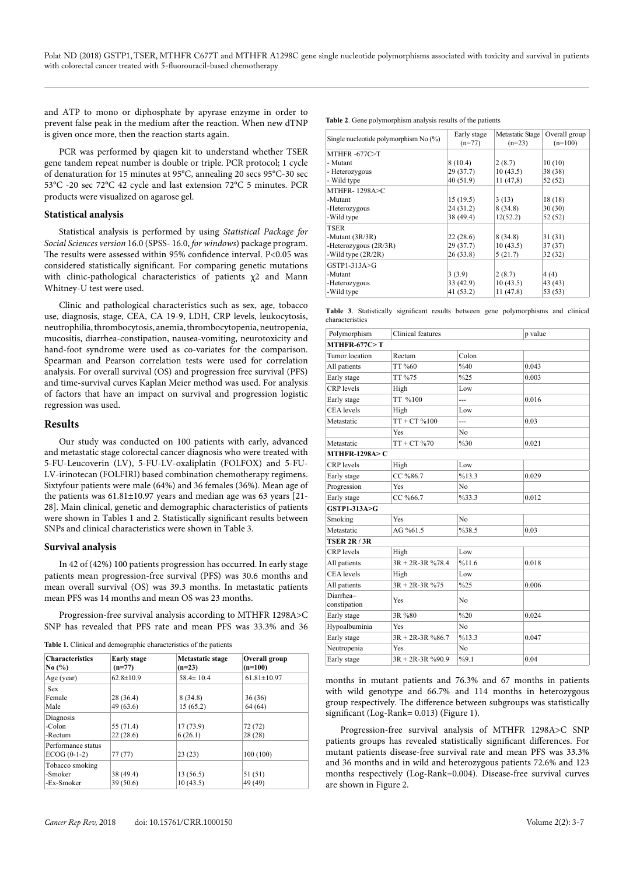and ATP to mono or diphosphate by apyrase enzyme in order to prevent false peak in the medium after the reaction. When new dTNP is given once more, then the reaction starts again.

PCR was performed by qiagen kit to understand whether TSER gene tandem repeat number is double or triple. PCR protocol; 1 cycle of denaturation for 15 minutes at 95°C, annealing 20 secs 95°C-30 sec 53°C -20 sec 72°C 42 cycle and last extension 72°C 5 minutes. PCR products were visualized on agarose gel.

#### **Statistical analysis**

Statistical analysis is performed by using *Statistical Package for Social Sciences version* 16.0 (SPSS- 16.0, *for windows*) package program. The results were assessed within 95% confidence interval. P<0.05 was considered statistically significant. For comparing genetic mutations with clinic-pathological characteristics of patients χ2 and Mann Whitney-U test were used.

Clinic and pathological characteristics such as sex, age, tobacco use, diagnosis, stage, CEA, CA 19-9, LDH, CRP levels, leukocytosis, neutrophilia, thrombocytosis, anemia, thrombocytopenia, neutropenia, mucositis, diarrhea-constipation, nausea-vomiting, neurotoxicity and hand-foot syndrome were used as co-variates for the comparison. Spearman and Pearson correlation tests were used for correlation analysis. For overall survival (OS) and progression free survival (PFS) and time-survival curves Kaplan Meier method was used. For analysis of factors that have an impact on survival and progression logistic regression was used.

#### **Results**

Our study was conducted on 100 patients with early, advanced and metastatic stage colorectal cancer diagnosis who were treated with 5-FU-Leucoverin (LV), 5-FU-LV-oxaliplatin (FOLFOX) and 5-FU-LV-irinotecan (FOLFIRI) based combination chemotherapy regimens. Sixtyfour patients were male (64%) and 36 females (36%). Mean age of the patients was 61.81±10.97 years and median age was 63 years [21- 28]. Main clinical, genetic and demographic characteristics of patients were shown in Tables 1 and 2. Statistically significant results between SNPs and clinical characteristics were shown in Table 3.

#### **Survival analysis**

In 42 of (42%) 100 patients progression has occurred. In early stage patients mean progression-free survival (PFS) was 30.6 months and mean overall survival (OS) was 39.3 months. In metastatic patients mean PFS was 14 months and mean OS was 23 months.

Progression-free survival analysis according to MTHFR 1298A>C SNP has revealed that PFS rate and mean PFS was 33.3% and 36

|  | Table 1. Clinical and demographic characteristics of the patients |  |  |  |
|--|-------------------------------------------------------------------|--|--|--|
|--|-------------------------------------------------------------------|--|--|--|

| <b>Characteristics</b><br>No $\left(\%\right)$ | <b>Early stage</b><br>$(n=77)$ | Metastatic stage<br>$(n=23)$ | <b>Overall group</b><br>$(n=100)$ |  |
|------------------------------------------------|--------------------------------|------------------------------|-----------------------------------|--|
| Age (year)                                     | $62.8 \pm 10.9$                | $58.4 \pm 10.4$              | $61.81 \pm 10.97$                 |  |
| <b>Sex</b><br>Female<br>Male                   | 28 (36.4)<br>49(63.6)          | 8(34.8)<br>15(65.2)          | 36(36)<br>64 (64)                 |  |
| Diagnosis<br>-Colon<br>-Rectum                 | 55 (71.4)<br>22(28.6)          | 17(73.9)<br>6(26.1)          | 72(72)<br>28(28)                  |  |
| Performance status<br>$ECOG (0-1-2)$           | 77(77)                         | 23(23)                       | 100(100)                          |  |
| Tobacco smoking<br>-Smoker<br>-Ex-Smoker       | 38 (49.4)<br>39(50.6)          | 13(56.5)<br>10(43.5)         | 51(51)<br>49 (49)                 |  |

**Table 2**. Gene polymorphism analysis results of the patients

| Single nucleotide polymorphism No $(\%)$ | Early stage<br>$(n=77)$ | <b>Metastatic Stage</b><br>$(n=23)$ | Overall group<br>$(n=100)$ |
|------------------------------------------|-------------------------|-------------------------------------|----------------------------|
| MTHFR $-677C > T$                        |                         |                                     |                            |
| - Mutant                                 | 8(10.4)                 | 2(8.7)                              | 10(10)                     |
| - Heterozygous                           | 29(37.7)                | 10(43.5)                            | 38 (38)                    |
| - Wild type                              | 40 (51.9)               | 11(47,8)                            | 52 (52)                    |
| <b>MTHFR-1298A&gt;C</b>                  |                         |                                     |                            |
| -Mutant                                  | 15(19.5)                | 3(13)                               | 18(18)                     |
| -Heterozygous                            | 24 (31.2)               | 8(34.8)                             | 30(30)                     |
| -Wild type                               | 38 (49.4)               | 12(52.2)                            | 52 (52)                    |
| TSER                                     |                         |                                     |                            |
| -Mutant $(3R/3R)$                        | 22(28.6)                | 8(34.8)                             | 31(31)                     |
| -Heterozygous $(2R/3R)$                  | 29(37.7)                | 10(43.5)                            | 37(37)                     |
| -Wild type $(2R/2R)$                     | 26(33.8)                | 5(21.7)                             | 32(32)                     |
| $GSTP1-313A > G$                         |                         |                                     |                            |
| -Mutant                                  | 3(3.9)                  | 2(8.7)                              | 4(4)                       |
| -Heterozygous                            | 33 (42.9)               | 10(43.5)                            | 43 (43)                    |
| -Wild type                               | 41(53.2)                | 11(47.8)                            | 53 (53)                    |

**Table 3**. Statistically significant results between gene polymorphisms and clinical characteristics

| Polymorphism              | Clinical features    |                | p value |
|---------------------------|----------------------|----------------|---------|
| MTHFR-677C $>$ T          |                      |                |         |
| Tumor location            | Rectum               | Colon          |         |
| All patients              | TT %60               | %40            | 0.043   |
| Early stage               | TT %75               | %25            | 0.003   |
| <b>CRP</b> levels         | High                 | Low            |         |
| Early stage               | TT %100              | ---            | 0.016   |
| <b>CEA</b> levels         | High                 | Low            |         |
| Metastatic                | $TT + CT \% 100$     | ---            | 0.03    |
|                           | Yes                  | No             |         |
| Metastatic                | $TT + CT$ %70        | %30            | 0.021   |
| <b>MTHFR-1298A&gt; C</b>  |                      |                |         |
| <b>CRP</b> levels         | High                 | Low            |         |
| Early stage               | CC %86.7             | %13.3          | 0.029   |
| Progression               | <b>Yes</b>           | N <sub>0</sub> |         |
| Early stage               | CC %66.7             | %33.3          | 0.012   |
| GSTP1-313A>G              |                      |                |         |
| Smoking                   | Yes                  | N <sub>0</sub> |         |
| Metastatic                | $AG\%61.5$           | %38.5          | 0.03    |
| <b>TSER 2R / 3R</b>       |                      |                |         |
| <b>CRP</b> levels         | High                 | Low            |         |
| All patients              | $3R + 2R - 3R$ %78.4 | %11.6          | 0.018   |
| <b>CEA</b> levels         | High                 | Low            |         |
| All patients              | $3R + 2R - 3R$ %75   | %25            | 0.006   |
| Diarrhea-<br>constipation | Yes                  | No             |         |
| Early stage               | 3R %80               | %20            | 0.024   |
| Hypoalbuminia             | Yes                  | No             |         |
| Early stage               | $3R + 2R - 3R$ %86.7 | %13.3          | 0.047   |
| Neutropenia               | Yes                  | No             |         |
| Early stage               | $3R + 2R - 3R$ %90.9 | %9.1           | 0.04    |

months in mutant patients and 76.3% and 67 months in patients with wild genotype and 66.7% and 114 months in heterozygous group respectively. The difference between subgroups was statistically significant (Log-Rank= 0.013) (Figure 1).

Progression-free survival analysis of MTHFR 1298A>C SNP patients groups has revealed statistically significant differences. For mutant patients disease-free survival rate and mean PFS was 33.3% and 36 months and in wild and heterozygous patients 72.6% and 123 months respectively (Log-Rank=0.004). Disease-free survival curves are shown in Figure 2.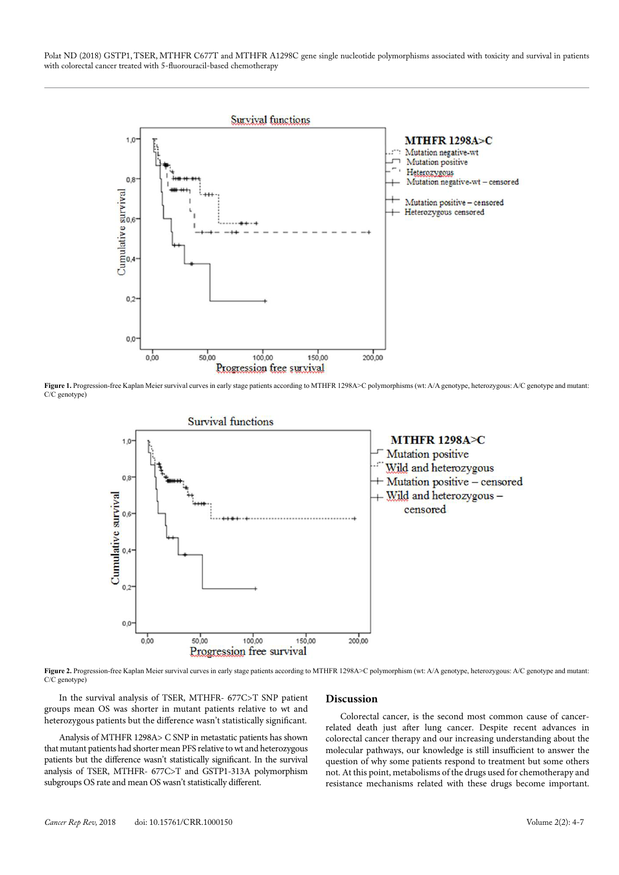Polat ND (2018) GSTP1, TSER, MTHFR C677T and MTHFR A1298C gene single nucleotide polymorphisms associated with toxicity and survival in patients with colorectal cancer treated with 5-fluorouracil-based chemotherapy



Figure 1. Progression-free Kaplan Meier survival curves in early stage patients according to MTHFR 1298A>C polymorphisms (wt: A/A genotype, heterozygous: A/C genotype and mutant: C/C genotype)



Figure 2. Progression-free Kaplan Meier survival curves in early stage patients according to MTHFR 1298A>C polymorphism (wt: A/A genotype, heterozygous: A/C genotype and mutant: C/C genotype)

In the survival analysis of TSER, MTHFR- 677C>T SNP patient groups mean OS was shorter in mutant patients relative to wt and heterozygous patients but the difference wasn't statistically significant.

Analysis of MTHFR 1298A> C SNP in metastatic patients has shown that mutant patients had shorter mean PFS relative to wt and heterozygous patients but the difference wasn't statistically significant. In the survival analysis of TSER, MTHFR- 677C>T and GSTP1-313A polymorphism subgroups OS rate and mean OS wasn't statistically different.

#### **Discussion**

Colorectal cancer, is the second most common cause of cancerrelated death just after lung cancer. Despite recent advances in colorectal cancer therapy and our increasing understanding about the molecular pathways, our knowledge is still insufficient to answer the question of why some patients respond to treatment but some others not. At this point, metabolisms of the drugs used for chemotherapy and resistance mechanisms related with these drugs become important.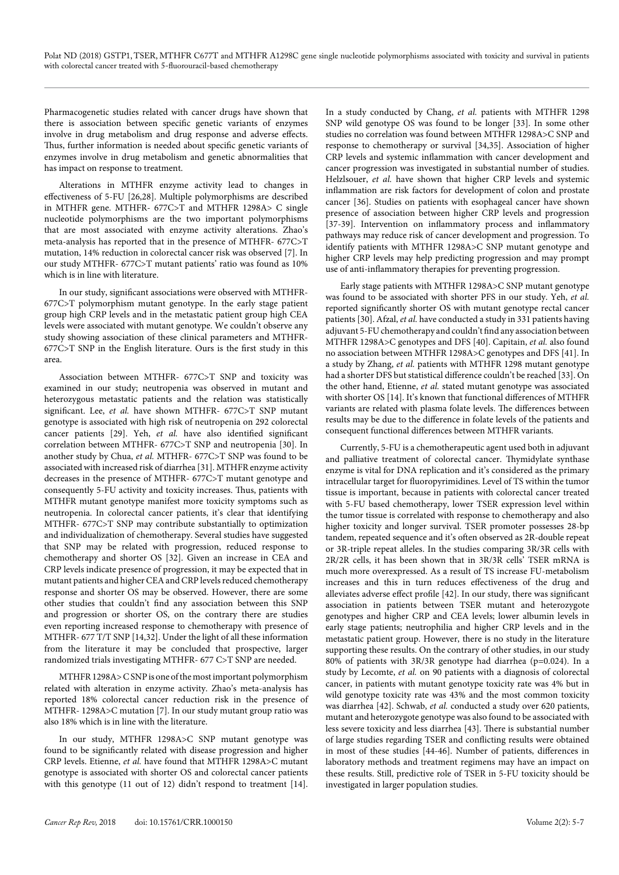Pharmacogenetic studies related with cancer drugs have shown that there is association between specific genetic variants of enzymes involve in drug metabolism and drug response and adverse effects. Thus, further information is needed about specific genetic variants of enzymes involve in drug metabolism and genetic abnormalities that has impact on response to treatment.

Alterations in MTHFR enzyme activity lead to changes in effectiveness of 5-FU [26,28]. Multiple polymorphisms are described in MTHFR gene. MTHFR- 677C>T and MTHFR 1298A> C single nucleotide polymorphisms are the two important polymorphisms that are most associated with enzyme activity alterations. Zhao's meta-analysis has reported that in the presence of MTHFR- 677C>T mutation, 14% reduction in colorectal cancer risk was observed [7]. In our study MTHFR- 677C>T mutant patients' ratio was found as 10% which is in line with literature.

In our study, significant associations were observed with MTHFR-677C>T polymorphism mutant genotype. In the early stage patient group high CRP levels and in the metastatic patient group high CEA levels were associated with mutant genotype. We couldn't observe any study showing association of these clinical parameters and MTHFR-677C>T SNP in the English literature. Ours is the first study in this area.

Association between MTHFR- 677C>T SNP and toxicity was examined in our study; neutropenia was observed in mutant and heterozygous metastatic patients and the relation was statistically significant. Lee, *et al.* have shown MTHFR- 677C>T SNP mutant genotype is associated with high risk of neutropenia on 292 colorectal cancer patients [29]. Yeh, *et al.* have also identified significant correlation between MTHFR- 677C>T SNP and neutropenia [30]. In another study by Chua, *et al.* MTHFR- 677C>T SNP was found to be associated with increased risk of diarrhea [31]. MTHFR enzyme activity decreases in the presence of MTHFR- 677C>T mutant genotype and consequently 5-FU activity and toxicity increases. Thus, patients with MTHFR mutant genotype manifest more toxicity symptoms such as neutropenia. In colorectal cancer patients, it's clear that identifying MTHFR- 677C>T SNP may contribute substantially to optimization and individualization of chemotherapy. Several studies have suggested that SNP may be related with progression, reduced response to chemotherapy and shorter OS [32]. Given an increase in CEA and CRP levels indicate presence of progression, it may be expected that in mutant patients and higher CEA and CRP levels reduced chemotherapy response and shorter OS may be observed. However, there are some other studies that couldn't find any association between this SNP and progression or shorter OS, on the contrary there are studies even reporting increased response to chemotherapy with presence of MTHFR- 677 T/T SNP [14,32]. Under the light of all these information from the literature it may be concluded that prospective, larger randomized trials investigating MTHFR- 677 C>T SNP are needed.

MTHFR 1298A> C SNP is one of the most important polymorphism related with alteration in enzyme activity. Zhao's meta-analysis has reported 18% colorectal cancer reduction risk in the presence of MTHFR- 1298A>C mutation [7]. In our study mutant group ratio was also 18% which is in line with the literature.

In our study, MTHFR 1298A>C SNP mutant genotype was found to be significantly related with disease progression and higher CRP levels. Etienne, *et al.* have found that MTHFR 1298A>C mutant genotype is associated with shorter OS and colorectal cancer patients with this genotype (11 out of 12) didn't respond to treatment [14].

In a study conducted by Chang, *et al.* patients with MTHFR 1298 SNP wild genotype OS was found to be longer [33]. In some other studies no correlation was found between MTHFR 1298A>C SNP and response to chemotherapy or survival [34,35]. Association of higher CRP levels and systemic inflammation with cancer development and cancer progression was investigated in substantial number of studies. Helzlsouer, *et al.* have shown that higher CRP levels and systemic inflammation are risk factors for development of colon and prostate cancer [36]. Studies on patients with esophageal cancer have shown presence of association between higher CRP levels and progression [37-39]. Intervention on inflammatory process and inflammatory pathways may reduce risk of cancer development and progression. To identify patients with MTHFR 1298A>C SNP mutant genotype and higher CRP levels may help predicting progression and may prompt use of anti-inflammatory therapies for preventing progression.

Early stage patients with MTHFR 1298A>C SNP mutant genotype was found to be associated with shorter PFS in our study. Yeh, *et al.* reported significantly shorter OS with mutant genotype rectal cancer patients [30]. Afzal, *et al.* have conducted a study in 331 patients having adjuvant 5-FU chemotherapy and couldn't find any association between MTHFR 1298A>C genotypes and DFS [40]. Capitain, *et al.* also found no association between MTHFR 1298A>C genotypes and DFS [41]. In a study by Zhang, *et al.* patients with MTHFR 1298 mutant genotype had a shorter DFS but statistical difference couldn't be reached [33]. On the other hand, Etienne, *et al.* stated mutant genotype was associated with shorter OS [14]. It's known that functional differences of MTHFR variants are related with plasma folate levels. The differences between results may be due to the difference in folate levels of the patients and consequent functional differences between MTHFR variants.

Currently, 5-FU is a chemotherapeutic agent used both in adjuvant and palliative treatment of colorectal cancer. Thymidylate synthase enzyme is vital for DNA replication and it's considered as the primary intracellular target for fluoropyrimidines. Level of TS within the tumor tissue is important, because in patients with colorectal cancer treated with 5-FU based chemotherapy, lower TSER expression level within the tumor tissue is correlated with response to chemotherapy and also higher toxicity and longer survival. TSER promoter possesses 28-bp tandem, repeated sequence and it's often observed as 2R-double repeat or 3R-triple repeat alleles. In the studies comparing 3R/3R cells with 2R/2R cells, it has been shown that in 3R/3R cells' TSER mRNA is much more overexpressed. As a result of TS increase FU-metabolism increases and this in turn reduces effectiveness of the drug and alleviates adverse effect profile [42]. In our study, there was significant association in patients between TSER mutant and heterozygote genotypes and higher CRP and CEA levels; lower albumin levels in early stage patients; neutrophilia and higher CRP levels and in the metastatic patient group. However, there is no study in the literature supporting these results. On the contrary of other studies, in our study 80% of patients with 3R/3R genotype had diarrhea (p=0.024). In a study by Lecomte, *et al.* on 90 patients with a diagnosis of colorectal cancer, in patients with mutant genotype toxicity rate was 4% but in wild genotype toxicity rate was 43% and the most common toxicity was diarrhea [42]. Schwab, *et al.* conducted a study over 620 patients, mutant and heterozygote genotype was also found to be associated with less severe toxicity and less diarrhea [43]. There is substantial number of large studies regarding TSER and conflicting results were obtained in most of these studies [44-46]. Number of patients, differences in laboratory methods and treatment regimens may have an impact on these results. Still, predictive role of TSER in 5-FU toxicity should be investigated in larger population studies.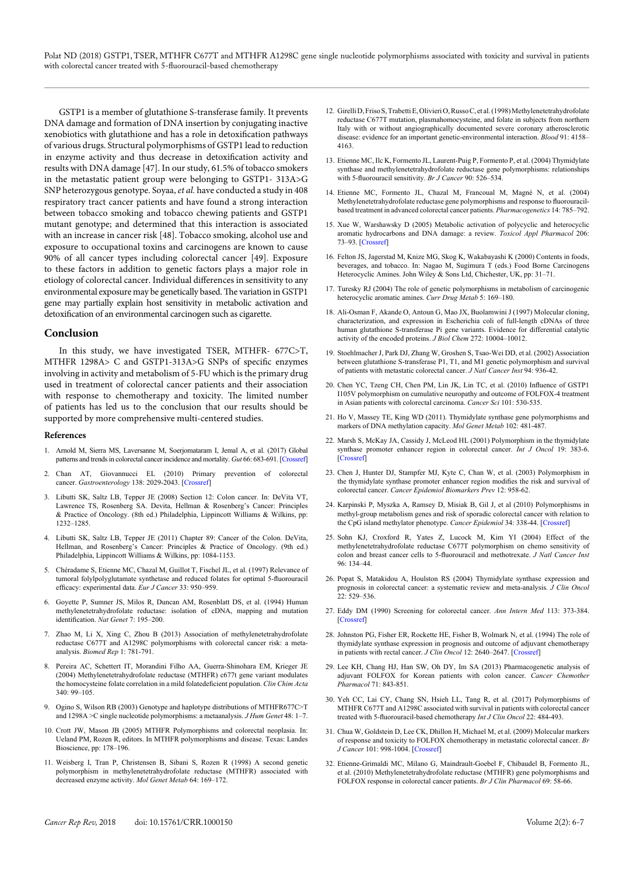Polat ND (2018) GSTP1, TSER, MTHFR C677T and MTHFR A1298C gene single nucleotide polymorphisms associated with toxicity and survival in patients with colorectal cancer treated with 5-fluorouracil-based chemotherapy

GSTP1 is a member of glutathione S-transferase family. It prevents DNA damage and formation of DNA insertion by conjugating inactive xenobiotics with glutathione and has a role in detoxification pathways of various drugs. Structural polymorphisms of GSTP1 lead to reduction in enzyme activity and thus decrease in detoxification activity and results with DNA damage [47]. In our study, 61.5% of tobacco smokers in the metastatic patient group were belonging to GSTP1- 313A>G SNP heterozygous genotype. Soyaa, *et al.* have conducted a study in 408 respiratory tract cancer patients and have found a strong interaction between tobacco smoking and tobacco chewing patients and GSTP1 mutant genotype; and determined that this interaction is associated with an increase in cancer risk [48]. Tobacco smoking, alcohol use and exposure to occupational toxins and carcinogens are known to cause 90% of all cancer types including colorectal cancer [49]. Exposure to these factors in addition to genetic factors plays a major role in etiology of colorectal cancer. Individual differences in sensitivity to any environmental exposure may be genetically based. The variation in GSTP1 gene may partially explain host sensitivity in metabolic activation and detoxification of an environmental carcinogen such as cigarette.

#### **Conclusion**

In this study, we have investigated TSER, MTHFR- 677C>T, MTHFR 1298A> C and GSTP1-313A>G SNPs of specific enzymes involving in activity and metabolism of 5-FU which is the primary drug used in treatment of colorectal cancer patients and their association with response to chemotherapy and toxicity. The limited number of patients has led us to the conclusion that our results should be supported by more comprehensive multi-centered studies.

#### **References**

- 1. Arnold M, Sierra MS, Laversanne M, Soerjomataram I, Jemal A, et al. (2017) Global patterns and trends in colorectal cancer incidence and mortality. *Gut* 66: 683-691. [\[Crossref\]](https://www.ncbi.nlm.nih.gov/pubmed/26818619)
- 2. Chan AT, Giovannucci EL (2010) Primary prevention of colorectal cancer. *Gastroenterology* 138: 2029-2043. [\[Crossref\]](http://www.ncbi.nlm.nih.gov/pubmed/20420944)
- 3. Libutti SK, Saltz LB, Tepper JE (2008) Section 12: Colon cancer. In: DeVita VT, Lawrence TS, Rosenberg SA. Devita, Hellman & Rosenberg's Cancer: Principles & Practice of Oncology. (8th ed.) Philadelphia, Lippincott Williams & Wilkins, pp: 1232–1285.
- 4. Libutti SK, Saltz LB, Tepper JE (2011) Chapter 89: Cancer of the Colon. DeVita, Hellman, and Rosenberg's Cancer: Principles & Practice of Oncology. (9th ed.) Philadelphia, Lippincott Williams & Wilkins, pp: 1084-1153.
- 5. Chéradame S, Etienne MC, Chazal M, Guillot T, Fischel JL, et al. (1997) Relevance of tumoral folylpolyglutamate synthetase and reduced folates for optimal 5-fluorouracil efficacy: experimental data. *Eur J Cancer* 33: 950–959.
- 6. Goyette P, Sumner JS, Milos R, Duncan AM, Rosenblatt DS, et al. (1994) Human methylenetetrahydrofolate reductase: isolation of cDNA, mapping and mutation identification. *Nat Genet* 7: 195–200.
- 7. Zhao M, Li X, Xing C, Zhou B (2013) Association of methylenetetrahydrofolate reductase C677T and A1298C polymorphisms with colorectal cancer risk: a metaanalysis. *Biomed Rep* 1: 781-791.
- 8. Pereira AC, Schettert IT, Morandini Filho AA, Guerra-Shinohara EM, Krieger JE (2004) Methylenetetrahydrofolate reductase (MTHFR) c677t gene variant modulates the homocysteine folate correlation in a mild folatedeficient population. *Clin Chim Acta*  $340.99 - 105$
- 9. Ogino S, Wilson RB (2003) Genotype and haplotype distributions of MTHFR677C>T and 1298A >C single nucleotide polymorphisms: a metaanalysis. *J Hum Genet* 48: 1–7.
- 10. Crott JW, Mason JB (2005) MTHFR Polymorphisms and colorectal neoplasia. In: Ueland PM, Rozen R, editors. In MTHFR polymorphisms and disease. Texas: Landes Bioscience, pp: 178–196.
- 11. Weisberg I, Tran P, Christensen B, Sibani S, Rozen R (1998) A second genetic polymorphism in methylenetetrahydrofolate reductase (MTHFR) associated with decreased enzyme activity. *Mol Genet Metab* 64: 169–172.
- 12. Girelli D, Friso S, Trabetti E, Olivieri O, Russo C, et al. (1998) Methylenetetrahydrofolate reductase C677T mutation, plasmahomocysteine, and folate in subjects from northern Italy with or without angiographically documented severe coronary atherosclerotic disease: evidence for an important genetic-environmental interaction. *Blood* 91: 4158– 4163.
- 13. Etienne MC, Ilc K, Formento JL, Laurent-Puig P, Formento P, et al. (2004) Thymidylate synthase and methylenetetrahydrofolate reductase gene polymorphisms: relationships with 5-fluorouracil sensitivity. *Br J Cancer* 90: 526–534.
- 14. Etienne MC, Formento JL, Chazal M, Francoual M, Magné N, et al. (2004) Methylenetetrahydrofolate reductase gene polymorphisms and response to fluorouracilbased treatment in advanced colorectal cancer patients. *Pharmacogenetics* 14: 785–792.
- 15. Xue W, Warshawsky D (2005) Metabolic activation of polycyclic and heterocyclic aromatic hydrocarbons and DNA damage: a review. *Toxicol Appl Pharmacol* 206: 73–93. [\[Crossref\]](https://www.ncbi.nlm.nih.gov/pubmed/15963346)
- 16. Felton JS, Jagerstad M, Knize MG, Skog K, Wakabayashi K (2000) Contents in foods, beverages, and tobacco. In: Nagao M, Sugimura T (eds.) Food Borne Carcinogens Heterocyclic Amines. John Wiley & Sons Ltd, Chichester, UK, pp: 31–71.
- 17. Turesky RJ (2004) The role of genetic polymorphisms in metabolism of carcinogenic heterocyclic aromatic amines. *Curr Drug Metab* 5: 169–180.
- 18. Ali-Osman F, Akande O, Antoun G, Mao JX, Buolamwini J (1997) Molecular cloning, characterization, and expression in Escherichia coli of full-length cDNAs of three human glutathione S-transferase Pi gene variants. Evidence for differential catalytic activity of the encoded proteins. *J Biol Chem* 272: 10004–10012.
- 19. Stoehlmacher J, Park DJ, Zhang W, Groshen S, Tsao-Wei DD, et al. (2002) Association between glutathione S-transferase P1, T1, and M1 genetic polymorphism and survival of patients with metastatic colorectal cancer. *J Natl Cancer Inst* 94: 936-42.
- 20. Chen YC, Tzeng CH, Chen PM, Lin JK, Lin TC, et al. (2010) Influence of GSTP1 I105V polymorphism on cumulative neuropathy and outcome of FOLFOX-4 treatment in Asian patients with colorectal carcinoma. *Cancer Sci* 101: 530-535.
- 21. Ho V, Massey TE, King WD (2011). Thymidylate synthase gene polymorphisms and markers of DNA methylation capacity. *Mol Genet Metab* 102: 481-487.
- 22. Marsh S, McKay JA, Cassidy J, McLeod HL (2001) Polymorphism in the thymidylate synthase promoter enhancer region in colorectal cancer. *Int J Oncol* 19: 383-6. [\[Crossref\]](https://www.ncbi.nlm.nih.gov/pubmed/11445856)
- 23. Chen J, Hunter DJ, Stampfer MJ, Kyte C, Chan W, et al. (2003) Polymorphism in the thymidylate synthase promoter enhancer region modifies the risk and survival of colorectal cancer. *Cancer Epidemiol Biomarkers Prev* 12: 958-62.
- 24. Karpinski P, Myszka A, Ramsey D, Misiak B, Gil J, et al (2010) Polymorphisms in methyl-group metabolism genes and risk of sporadic colorectal cancer with relation to the CpG island methylator phenotype. *Cancer Epidemiol* 34: 338-44. [\[Crossref\]](https://www.ncbi.nlm.nih.gov/pubmed/20381446)
- 25. Sohn KJ, Croxford R, Yates Z, Lucock M, Kim YI (2004) Effect of the methylenetetrahydrofolate reductase C677T polymorphism on chemo sensitivity of colon and breast cancer cells to 5-fluorouracil and methotrexate. *J Natl Cancer Inst* 96: 134–44.
- 26. Popat S, Matakidou A, Houlston RS (2004) Thymidylate synthase expression and prognosis in colorectal cancer: a systematic review and meta-analysis. *J Clin Oncol*  $22.529 - 536$
- 27. Eddy DM (1990) Screening for colorectal cancer. *Ann Intern Med* 113: 373-384. [\[Crossref\]](http://www.ncbi.nlm.nih.gov/pubmed/2200321)
- 28. Johnston PG, Fisher ER, Rockette HE, Fisher B, Wolmark N, et al. (1994) The role of thymidylate synthase expression in prognosis and outcome of adjuvant chemotherapy in patients with rectal cancer. *J Clin Oncol* 12: 2640–2647. [\[Crossref\]](https://www.ncbi.nlm.nih.gov/pubmed/7989939)
- 29. Lee KH, Chang HJ, Han SW, Oh DY, Im SA (2013) Pharmacogenetic analysis of adjuvant FOLFOX for Korean patients with colon cancer. *Cancer Chemother Pharmacol* 71: 843-851.
- 30. Yeh CC, Lai CY, Chang SN, Hsieh LL, Tang R, et al. (2017) Polymorphisms of MTHFR C677T and A1298C associated with survival in patients with colorectal cancer treated with 5-fluorouracil-based chemotherapy *Int J Clin Oncol* 22: 484-493.
- 31. Chua W, Goldstein D, Lee CK, Dhillon H, Michael M, et al. (2009) Molecular markers of response and toxicity to FOLFOX chemotherapy in metastatic colorectal cancer. *Br J Cancer* 101: 998-1004. [\[Crossref\]](https://www.ncbi.nlm.nih.gov/pubmed/19672255)
- 32. Etienne-Grimaldi MC, Milano G, Maindrault-Goebel F, Chibaudel B, Formento JL, et al. (2010) Methylenetetrahydrofolate reductase (MTHFR) gene polymorphisms and FOLFOX response in colorectal cancer patients. *Br J Clin Pharmacol* 69: 58-66.